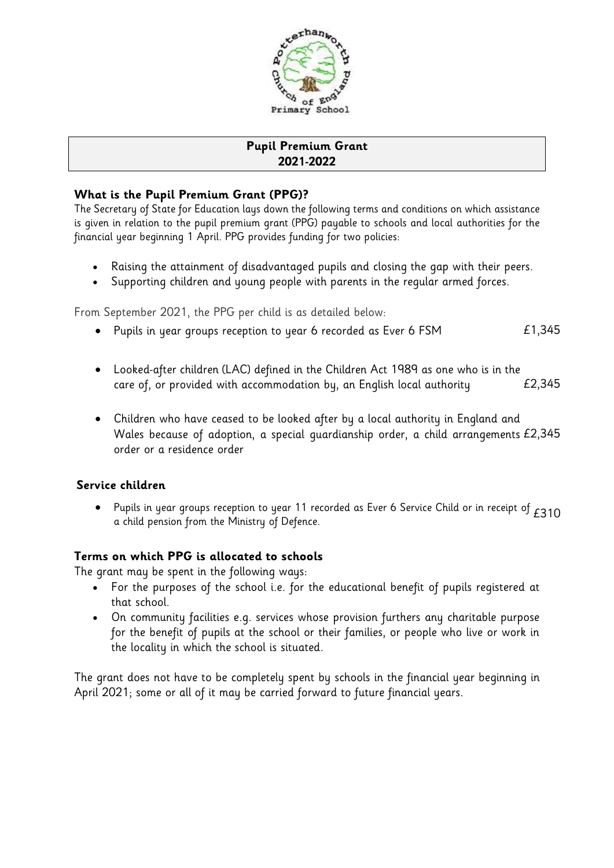

# **Pupil Premium Grant 2021-2022**

## **What is the Pupil Premium Grant (PPG)?**

The Secretary of State for Education lays down the following terms and conditions on which assistance is given in relation to the pupil premium grant (PPG) payable to schools and local authorities for the financial year beginning 1 April. PPG provides funding for two policies:

- Raising the attainment of disadvantaged pupils and closing the gap with their peers.
- Supporting children and young people with parents in the regular armed forces.

From September 2021, the PPG per child is as detailed below:

- Pupils in year groups reception to year 6 recorded as Ever 6 FSM  $E1,345$
- Looked-after children (LAC) defined in the Children Act 1989 as one who is in the care of, or provided with accommodation by, an English local authority  $E2,345$
- Children who have ceased to be looked after by a local authority in England and Wales because of adoption, a special guardianship order, a child arrangements £2,345 order or a residence order

### **Service children**

• Pupils in year groups reception to year 11 recorded as Ever 6 Service Child or in receipt of  $E310$ <br>a child pension from the Ministry of Defence.

### **Terms on which PPG is allocated to schools**

The grant may be spent in the following ways:

- For the purposes of the school i.e. for the educational benefit of pupils registered at that school.
- On community facilities e.g. services whose provision furthers any charitable purpose for the benefit of pupils at the school or their families, or people who live or work in the locality in which the school is situated.

The grant does not have to be completely spent by schools in the financial year beginning in April 2021; some or all of it may be carried forward to future financial years.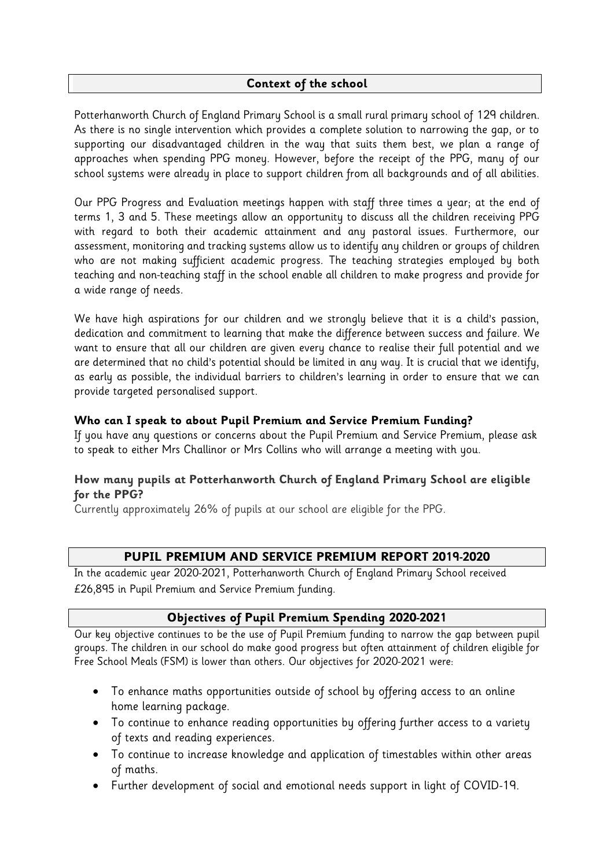### **Context of the school**

Potterhanworth Church of England Primary School is a small rural primary school of 129 children. As there is no single intervention which provides a complete solution to narrowing the gap, or to supporting our disadvantaged children in the way that suits them best, we plan a range of approaches when spending PPG money. However, before the receipt of the PPG, many of our school systems were already in place to support children from all backgrounds and of all abilities.

Our PPG Progress and Evaluation meetings happen with staff three times a year; at the end of terms 1, 3 and 5. These meetings allow an opportunity to discuss all the children receiving PPG with regard to both their academic attainment and any pastoral issues. Furthermore, our assessment, monitoring and tracking systems allow us to identify any children or groups of children who are not making sufficient academic progress. The teaching strategies employed by both teaching and non-teaching staff in the school enable all children to make progress and provide for a wide range of needs.

We have high aspirations for our children and we strongly believe that it is a child's passion, dedication and commitment to learning that make the difference between success and failure. We want to ensure that all our children are given every chance to realise their full potential and we are determined that no child's potential should be limited in any way. It is crucial that we identify, as early as possible, the individual barriers to children's learning in order to ensure that we can provide targeted personalised support.

#### **Who can I speak to about Pupil Premium and Service Premium Funding?**

If you have any questions or concerns about the Pupil Premium and Service Premium, please ask to speak to either Mrs Challinor or Mrs Collins who will arrange a meeting with you.

### **How many pupils at Potterhanworth Church of England Primary School are eligible for the PPG?**

Currently approximately 26% of pupils at our school are eligible for the PPG.

### **PUPIL PREMIUM AND SERVICE PREMIUM REPORT 2019-2020**

In the academic year 2020-2021, Potterhanworth Church of England Primary School received £26,895 in Pupil Premium and Service Premium funding.

### **Objectives of Pupil Premium Spending 2020-2021**

Our key objective continues to be the use of Pupil Premium funding to narrow the gap between pupil groups. The children in our school do make good progress but often attainment of children eligible for Free School Meals (FSM) is lower than others. Our objectives for 2020-2021 were:

- To enhance maths opportunities outside of school by offering access to an online home learning package.
- To continue to enhance reading opportunities by offering further access to a variety of texts and reading experiences.
- To continue to increase knowledge and application of timestables within other areas of maths.
- Further development of social and emotional needs support in light of COVID-19.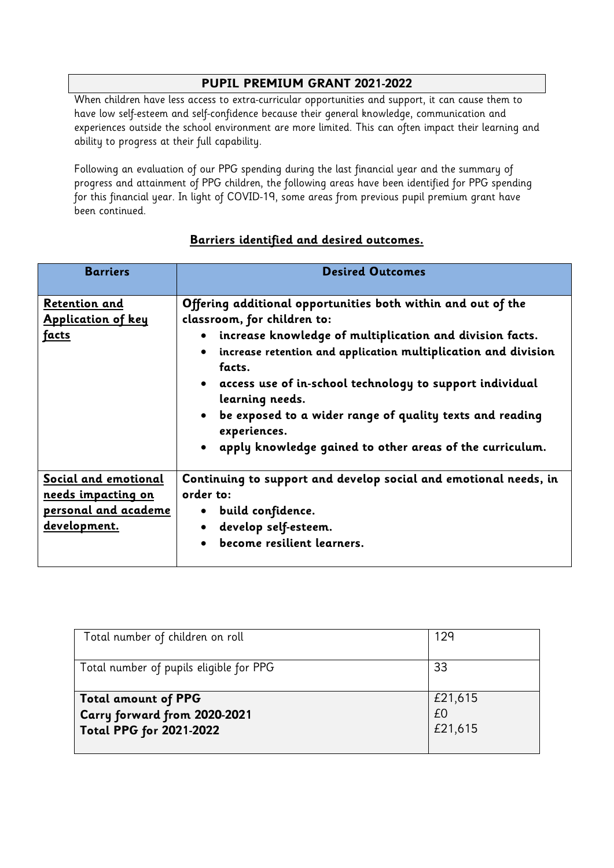### **PUPIL PREMIUM GRANT 2021-2022**

When children have less access to extra-curricular opportunities and support, it can cause them to have low self-esteem and self-confidence because their general knowledge, communication and experiences outside the school environment are more limited. This can often impact their learning and ability to progress at their full capability.

Following an evaluation of our PPG spending during the last financial year and the summary of progress and attainment of PPG children, the following areas have been identified for PPG spending for this financial year. In light of COVID-19, some areas from previous pupil premium grant have been continued.

| <b>Barriers</b>                                                                                  | <b>Desired Outcomes</b>                                                                                                                                                                                                                                                                                                                                                                                                                                                                    |
|--------------------------------------------------------------------------------------------------|--------------------------------------------------------------------------------------------------------------------------------------------------------------------------------------------------------------------------------------------------------------------------------------------------------------------------------------------------------------------------------------------------------------------------------------------------------------------------------------------|
| Retention and<br><b>Application of key</b><br><u>facts</u>                                       | Offering additional opportunities both within and out of the<br>classroom, for children to:<br>increase knowledge of multiplication and division facts.<br>$\bullet$<br>increase retention and application multiplication and division<br>$\bullet$<br>facts.<br>• access use of in-school technology to support individual<br>learning needs.<br>• be exposed to a wider range of quality texts and reading<br>experiences.<br>• apply knowledge gained to other areas of the curriculum. |
| Social and emotional<br><u>needs impacting on</u><br>personal and academe<br><u>development.</u> | Continuing to support and develop social and emotional needs, in<br>order to:<br>• build confidence.<br>develop self-esteem.<br>$\bullet$<br>become resilient learners.                                                                                                                                                                                                                                                                                                                    |

### **Barriers identified and desired outcomes.**

| Total number of children on roll        | 129     |
|-----------------------------------------|---------|
|                                         |         |
|                                         |         |
|                                         |         |
|                                         | 33      |
| Total number of pupils eligible for PPG |         |
|                                         |         |
|                                         |         |
|                                         |         |
| <b>Total amount of PPG</b>              | £21,615 |
|                                         | £0      |
| Carry forward from 2020-2021            |         |
|                                         |         |
| <b>Total PPG for 2021-2022</b>          | £21,615 |
|                                         |         |
|                                         |         |
|                                         |         |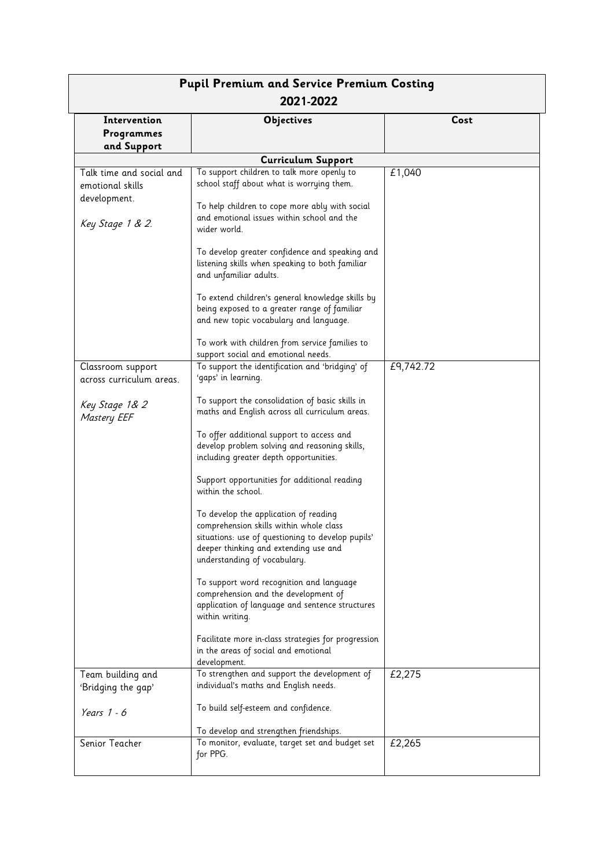| <b>Pupil Premium and Service Premium Costing</b><br>2021-2022                    |                                                                                                                                                                                                                                                                                                                                                                                                                                                                                                                                                                                                                                                                                                                                                                                                                                                            |           |  |  |
|----------------------------------------------------------------------------------|------------------------------------------------------------------------------------------------------------------------------------------------------------------------------------------------------------------------------------------------------------------------------------------------------------------------------------------------------------------------------------------------------------------------------------------------------------------------------------------------------------------------------------------------------------------------------------------------------------------------------------------------------------------------------------------------------------------------------------------------------------------------------------------------------------------------------------------------------------|-----------|--|--|
| Intervention<br>Programmes<br>and Support                                        | <b>Objectives</b>                                                                                                                                                                                                                                                                                                                                                                                                                                                                                                                                                                                                                                                                                                                                                                                                                                          | Cost      |  |  |
|                                                                                  | <b>Curriculum Support</b>                                                                                                                                                                                                                                                                                                                                                                                                                                                                                                                                                                                                                                                                                                                                                                                                                                  |           |  |  |
| Talk time and social and<br>emotional skills<br>development.<br>Key Stage 1 & 2. | To support children to talk more openly to<br>school staff about what is worrying them.<br>To help children to cope more ably with social<br>and emotional issues within school and the<br>wider world.<br>To develop greater confidence and speaking and<br>listening skills when speaking to both familiar<br>and unfamiliar adults.<br>To extend children's general knowledge skills by<br>being exposed to a greater range of familiar<br>and new topic vocabulary and language.                                                                                                                                                                                                                                                                                                                                                                       | £1,040    |  |  |
|                                                                                  | To work with children from service families to<br>support social and emotional needs.                                                                                                                                                                                                                                                                                                                                                                                                                                                                                                                                                                                                                                                                                                                                                                      |           |  |  |
| Classroom support<br>across curriculum areas.                                    | To support the identification and 'bridging' of<br>'gaps' in learning.                                                                                                                                                                                                                                                                                                                                                                                                                                                                                                                                                                                                                                                                                                                                                                                     | £9,742.72 |  |  |
| Key Stage 1& 2<br><b>Mastery EEF</b><br>Team building and                        | To support the consolidation of basic skills in<br>maths and English across all curriculum areas.<br>To offer additional support to access and<br>develop problem solving and reasoning skills,<br>including greater depth opportunities.<br>Support opportunities for additional reading<br>within the school.<br>To develop the application of reading<br>comprehension skills within whole class<br>situations: use of questioning to develop pupils'<br>deeper thinking and extending use and<br>understanding of vocabulary.<br>To support word recognition and language<br>comprehension and the development of<br>application of language and sentence structures<br>within writing.<br>Facilitate more in-class strategies for progression<br>in the areas of social and emotional<br>development.<br>To strengthen and support the development of | £2,275    |  |  |
| 'Bridging the gap'<br>Years $1 - 6$                                              | individual's maths and English needs.<br>To build self-esteem and confidence.<br>To develop and strengthen friendships.                                                                                                                                                                                                                                                                                                                                                                                                                                                                                                                                                                                                                                                                                                                                    |           |  |  |
| Senior Teacher                                                                   | To monitor, evaluate, target set and budget set<br>for PPG.                                                                                                                                                                                                                                                                                                                                                                                                                                                                                                                                                                                                                                                                                                                                                                                                | £2,265    |  |  |